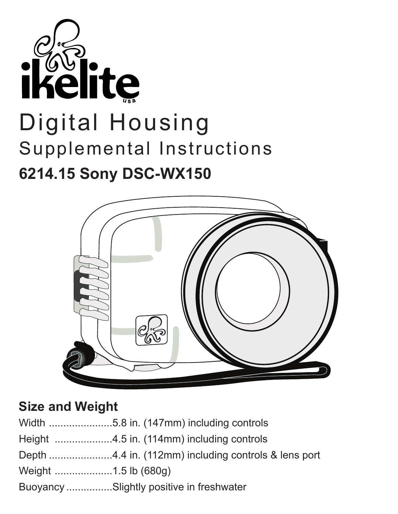



## **Size and Weight**

| Buoyancy Slightly positive in freshwater |
|------------------------------------------|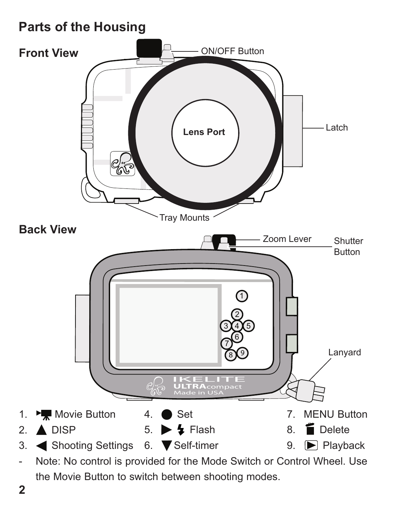# **Parts of the Housing**



the Movie Button to switch between shooting modes.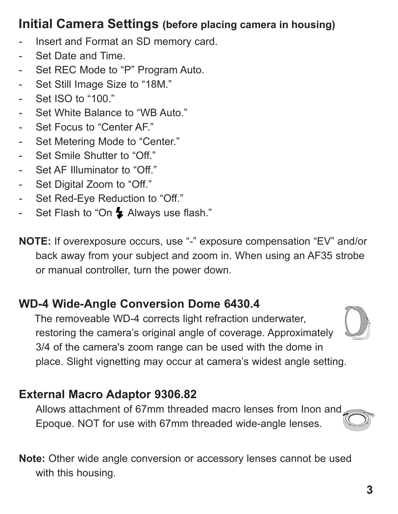# **Initial Camera Settings (before placing camera in housing)**

- Insert and Format an SD memory card.
- Set Date and Time.
- Set REC Mode to "P" Program Auto.
- Set Still Image Size to "18M."
- Set ISO to "100."
- Set White Balance to "WB Auto."
- Set Focus to "Center AF."
- Set Metering Mode to "Center."
- Set Smile Shutter to "Off."
- Set AF Illuminator to "Off."
- Set Digital Zoom to "Off."
- Set Red-Eye Reduction to "Off."
- Set Flash to "On  $\blacktriangle$  Always use flash."

**NOTE:** If overexposure occurs, use "-" exposure compensation "EV" and/or back away from your subject and zoom in. When using an AF35 strobe or manual controller, turn the power down.

## **WD-4 Wide-Angle Conversion Dome 6430.4**

The removeable WD-4 corrects light refraction underwater, restoring the camera's original angle of coverage. Approximately 3/4 of the camera's zoom range can be used with the dome in place. Slight vignetting may occur at camera's widest angle setting.

## **External Macro Adaptor 9306.82**

Allows attachment of 67mm threaded macro lenses from Inon and Epoque. NOT for use with 67mm threaded wide-angle lenses.

**Note:** Other wide angle conversion or accessory lenses cannot be used with this housing.